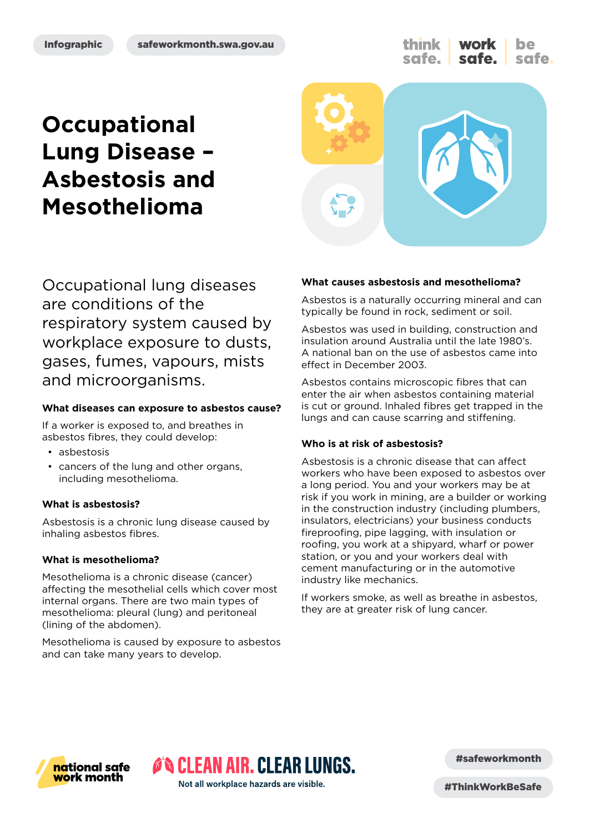think work safe.

# **Occupational Lung Disease – Asbestosis and Mesothelioma**



Occupational lung diseases are conditions of the respiratory system caused by workplace exposure to dusts, gases, fumes, vapours, mists and microorganisms.

#### **What diseases can exposure to asbestos cause?**

If a worker is exposed to, and breathes in asbestos fibres, they could develop:

- asbestosis
- cancers of the lung and other organs, including mesothelioma.

#### **What is asbestosis?**

Asbestosis is a chronic lung disease caused by inhaling asbestos fibres.

#### **What is mesothelioma?**

Mesothelioma is a chronic disease (cancer) affecting the mesothelial cells which cover most internal organs. There are two main types of mesothelioma: pleural (lung) and peritoneal (lining of the abdomen).

Mesothelioma is caused by exposure to asbestos and can take many years to develop.

#### **What causes asbestosis and mesothelioma?**

Asbestos is a naturally occurring mineral and can typically be found in rock, sediment or soil.

Asbestos was used in building, construction and insulation around Australia until the late 1980's. A national ban on the use of asbestos came into effect in December 2003.

Asbestos contains microscopic fibres that can enter the air when asbestos containing material is cut or ground. Inhaled fibres get trapped in the lungs and can cause scarring and stiffening.

#### **Who is at risk of asbestosis?**

Asbestosis is a chronic disease that can affect workers who have been exposed to asbestos over a long period. You and your workers may be at risk if you work in mining, are a builder or working in the construction industry (including plumbers, insulators, electricians) your business conducts fireproofing, pipe lagging, with insulation or roofing, you work at a shipyard, wharf or power station, or you and your workers deal with cement manufacturing or in the automotive industry like mechanics.

If workers smoke, as well as breathe in asbestos, they are at greater risk of lung cancer.



**O'S CLEAN AIR. CLEAR LUNGS.** Not all workplace hazards are visible.

#safeworkmonth

#ThinkWorkBeSafe